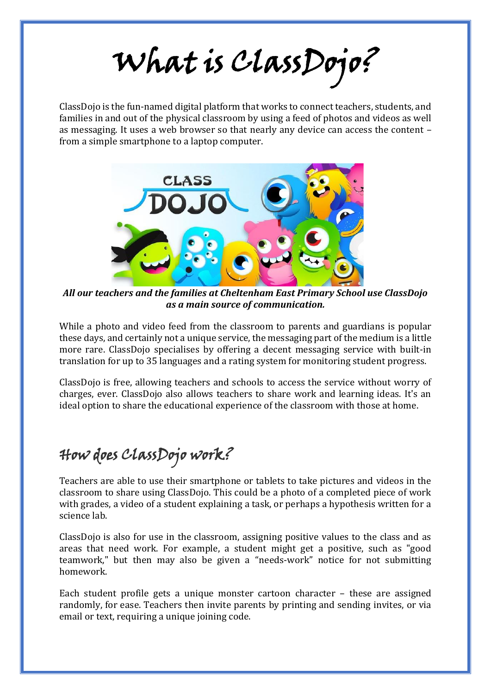## What is ClassDojo?

ClassDojo is the fun-named digital platform that works to connect teachers, students, and families in and out of the physical classroom by using a feed of photos and videos as well as messaging. It uses a web browser so that nearly any device can access the content – from a simple smartphone to a laptop computer.



*All our teachers and the families at Cheltenham East Primary School use ClassDojo as a main source of communication.*

While a photo and video feed from the classroom to parents and guardians is popular these days, and certainly not a unique service, the messaging part of the medium is a little more rare. ClassDojo specialises by offering a decent messaging service with built-in translation for up to 35 languages and a rating system for monitoring student progress.

ClassDojo is free, allowing teachers and schools to access the service without worry of charges, ever. ClassDojo also allows teachers to share work and learning ideas. It's an ideal option to share the educational experience of the classroom with those at home.

## How does ClassDojo work?

Teachers are able to use their smartphone or tablets to take pictures and videos in the classroom to share using ClassDojo. This could be a photo of a completed piece of work with grades, a video of a student explaining a task, or perhaps a hypothesis written for a science lab.

ClassDojo is also for use in the classroom, assigning positive values to the class and as areas that need work. For example, a student might get a positive, such as "good teamwork," but then may also be given a "needs-work" notice for not submitting homework.

Each student profile gets a unique monster cartoon character – these are assigned randomly, for ease. Teachers then invite parents by printing and sending invites, or via email or text, requiring a unique joining code.